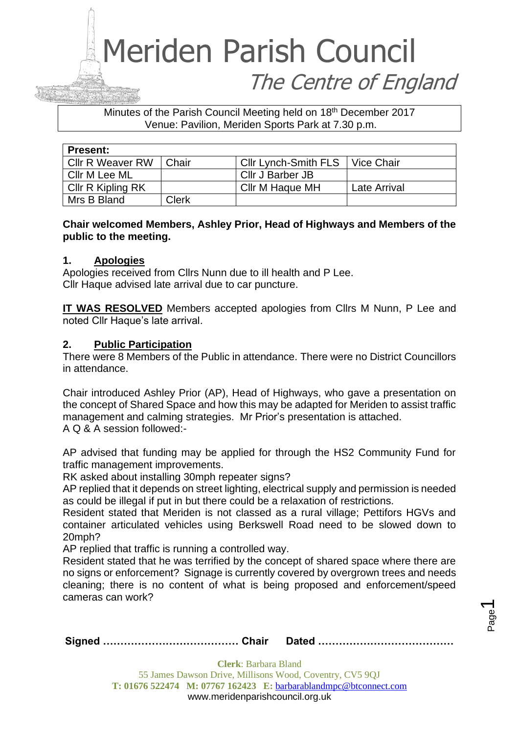### Minutes of the Parish Council Meeting held on 18th December 2017 Venue: Pavilion, Meriden Sports Park at 7.30 p.m.

| <b>Present:</b>         |       |                             |                     |
|-------------------------|-------|-----------------------------|---------------------|
| <b>CIIr R Weaver RW</b> | Chair | <b>Cllr Lynch-Smith FLS</b> | <b>Vice Chair</b>   |
| Cllr M Lee ML           |       | Cllr J Barber JB            |                     |
| Cllr R Kipling RK       |       | Cllr M Haque MH             | <b>Late Arrival</b> |
| Mrs B Bland             | Clerk |                             |                     |

### **Chair welcomed Members, Ashley Prior, Head of Highways and Members of the public to the meeting.**

### **1. Apologies**

Apologies received from Cllrs Nunn due to ill health and P Lee. Cllr Haque advised late arrival due to car puncture.

**IT WAS RESOLVED** Members accepted apologies from Cllrs M Nunn, P Lee and noted Cllr Haque's late arrival.

### **2. Public Participation**

There were 8 Members of the Public in attendance. There were no District Councillors in attendance.

Chair introduced Ashley Prior (AP), Head of Highways, who gave a presentation on the concept of Shared Space and how this may be adapted for Meriden to assist traffic management and calming strategies. Mr Prior's presentation is attached. A Q & A session followed:-

AP advised that funding may be applied for through the HS2 Community Fund for traffic management improvements.

RK asked about installing 30mph repeater signs?

AP replied that it depends on street lighting, electrical supply and permission is needed as could be illegal if put in but there could be a relaxation of restrictions.

Resident stated that Meriden is not classed as a rural village; Pettifors HGVs and container articulated vehicles using Berkswell Road need to be slowed down to 20mph?

AP replied that traffic is running a controlled way.

Resident stated that he was terrified by the concept of shared space where there are no signs or enforcement? Signage is currently covered by overgrown trees and needs cleaning; there is no content of what is being proposed and enforcement/speed cameras can work?

|--|--|

Page  $\overline{\phantom{0}}$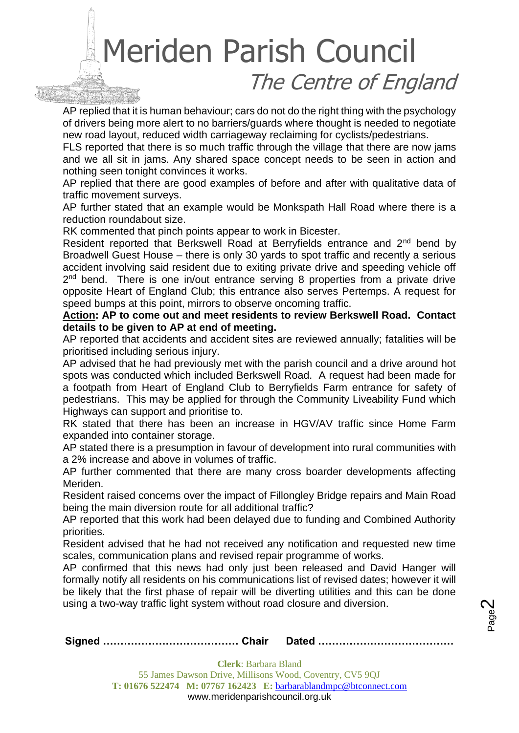AP replied that it is human behaviour; cars do not do the right thing with the psychology of drivers being more alert to no barriers/guards where thought is needed to negotiate new road layout, reduced width carriageway reclaiming for cyclists/pedestrians.

FLS reported that there is so much traffic through the village that there are now jams and we all sit in jams. Any shared space concept needs to be seen in action and nothing seen tonight convinces it works.

AP replied that there are good examples of before and after with qualitative data of traffic movement surveys.

AP further stated that an example would be Monkspath Hall Road where there is a reduction roundabout size.

RK commented that pinch points appear to work in Bicester.

Resident reported that Berkswell Road at Berryfields entrance and 2<sup>nd</sup> bend by Broadwell Guest House – there is only 30 yards to spot traffic and recently a serious accident involving said resident due to exiting private drive and speeding vehicle off 2<sup>nd</sup> bend. There is one in/out entrance serving 8 properties from a private drive opposite Heart of England Club; this entrance also serves Pertemps. A request for speed bumps at this point, mirrors to observe oncoming traffic.

**Action: AP to come out and meet residents to review Berkswell Road. Contact details to be given to AP at end of meeting.**

AP reported that accidents and accident sites are reviewed annually; fatalities will be prioritised including serious injury.

AP advised that he had previously met with the parish council and a drive around hot spots was conducted which included Berkswell Road. A request had been made for a footpath from Heart of England Club to Berryfields Farm entrance for safety of pedestrians. This may be applied for through the Community Liveability Fund which Highways can support and prioritise to.

RK stated that there has been an increase in HGV/AV traffic since Home Farm expanded into container storage.

AP stated there is a presumption in favour of development into rural communities with a 2% increase and above in volumes of traffic.

AP further commented that there are many cross boarder developments affecting Meriden.

Resident raised concerns over the impact of Fillongley Bridge repairs and Main Road being the main diversion route for all additional traffic?

AP reported that this work had been delayed due to funding and Combined Authority priorities.

Resident advised that he had not received any notification and requested new time scales, communication plans and revised repair programme of works.

AP confirmed that this news had only just been released and David Hanger will formally notify all residents on his communications list of revised dates; however it will be likely that the first phase of repair will be diverting utilities and this can be done using a two-way traffic light system without road closure and diversion.

|--|--|

Page  $\boldsymbol{\sim}$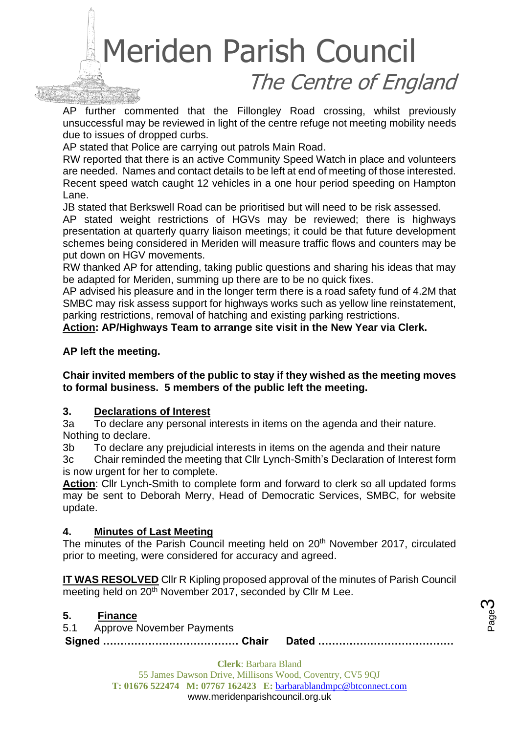AP further commented that the Fillongley Road crossing, whilst previously unsuccessful may be reviewed in light of the centre refuge not meeting mobility needs due to issues of dropped curbs.

AP stated that Police are carrying out patrols Main Road.

RW reported that there is an active Community Speed Watch in place and volunteers are needed. Names and contact details to be left at end of meeting of those interested. Recent speed watch caught 12 vehicles in a one hour period speeding on Hampton Lane.

JB stated that Berkswell Road can be prioritised but will need to be risk assessed.

AP stated weight restrictions of HGVs may be reviewed; there is highways presentation at quarterly quarry liaison meetings; it could be that future development schemes being considered in Meriden will measure traffic flows and counters may be put down on HGV movements.

RW thanked AP for attending, taking public questions and sharing his ideas that may be adapted for Meriden, summing up there are to be no quick fixes.

AP advised his pleasure and in the longer term there is a road safety fund of 4.2M that SMBC may risk assess support for highways works such as yellow line reinstatement, parking restrictions, removal of hatching and existing parking restrictions.

### **Action: AP/Highways Team to arrange site visit in the New Year via Clerk.**

### **AP left the meeting.**

**Chair invited members of the public to stay if they wished as the meeting moves to formal business. 5 members of the public left the meeting.**

### **3. Declarations of Interest**

3a To declare any personal interests in items on the agenda and their nature. Nothing to declare.

3b To declare any prejudicial interests in items on the agenda and their nature

3c Chair reminded the meeting that Cllr Lynch-Smith's Declaration of Interest form is now urgent for her to complete.

**Action**: Cllr Lynch-Smith to complete form and forward to clerk so all updated forms may be sent to Deborah Merry, Head of Democratic Services, SMBC, for website update.

### **4. Minutes of Last Meeting**

The minutes of the Parish Council meeting held on 20<sup>th</sup> November 2017, circulated prior to meeting, were considered for accuracy and agreed.

**IT WAS RESOLVED** Cllr R Kipling proposed approval of the minutes of Parish Council meeting held on 20<sup>th</sup> November 2017, seconded by Cllr M Lee.

### **5. Finance**

5.1 Approve November Payments

**Signed ………………………………… Chair Dated …………………………………**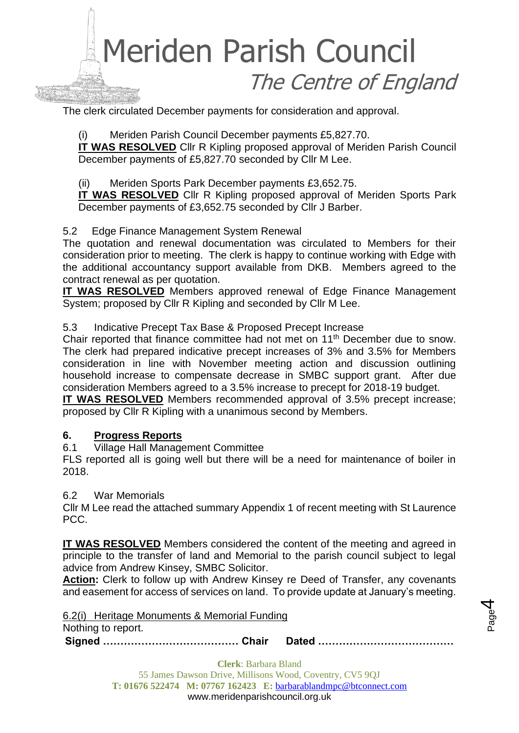The clerk circulated December payments for consideration and approval.

Meriden Parish Council December payments £5,827.70.

**IT WAS RESOLVED** Cllr R Kipling proposed approval of Meriden Parish Council December payments of £5,827.70 seconded by Cllr M Lee.

(ii) Meriden Sports Park December payments £3,652.75.

**IT WAS RESOLVED** Cllr R Kipling proposed approval of Meriden Sports Park December payments of £3,652.75 seconded by Cllr J Barber.

### 5.2 Edge Finance Management System Renewal

The quotation and renewal documentation was circulated to Members for their consideration prior to meeting. The clerk is happy to continue working with Edge with the additional accountancy support available from DKB. Members agreed to the contract renewal as per quotation.

**IT WAS RESOLVED** Members approved renewal of Edge Finance Management System; proposed by Cllr R Kipling and seconded by Cllr M Lee.

### 5.3 Indicative Precept Tax Base & Proposed Precept Increase

Chair reported that finance committee had not met on 11<sup>th</sup> December due to snow. The clerk had prepared indicative precept increases of 3% and 3.5% for Members consideration in line with November meeting action and discussion outlining household increase to compensate decrease in SMBC support grant. After due consideration Members agreed to a 3.5% increase to precept for 2018-19 budget.

**IT WAS RESOLVED** Members recommended approval of 3.5% precept increase; proposed by Cllr R Kipling with a unanimous second by Members.

### **6. Progress Reports**

6.1 Village Hall Management Committee

FLS reported all is going well but there will be a need for maintenance of boiler in 2018.

### 6.2 War Memorials

Cllr M Lee read the attached summary Appendix 1 of recent meeting with St Laurence PCC.

**IT WAS RESOLVED** Members considered the content of the meeting and agreed in principle to the transfer of land and Memorial to the parish council subject to legal advice from Andrew Kinsey, SMBC Solicitor.

**Action:** Clerk to follow up with Andrew Kinsey re Deed of Transfer, any covenants and easement for access of services on land. To provide update at January's meeting.

6.2(i) Heritage Monuments & Memorial Funding Nothing to report.

**Signed ………………………………… Chair Dated …………………………………**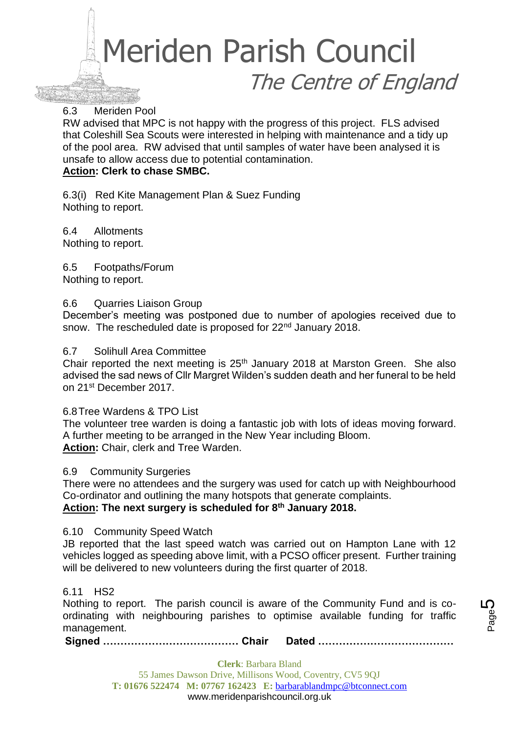### 6.3 Meriden Pool

RW advised that MPC is not happy with the progress of this project. FLS advised that Coleshill Sea Scouts were interested in helping with maintenance and a tidy up of the pool area. RW advised that until samples of water have been analysed it is unsafe to allow access due to potential contamination.

### **Action: Clerk to chase SMBC.**

6.3(i) Red Kite Management Plan & Suez Funding Nothing to report.

6.4 Allotments Nothing to report.

6.5 Footpaths/Forum Nothing to report.

### 6.6 Quarries Liaison Group

December's meeting was postponed due to number of apologies received due to snow. The rescheduled date is proposed for 22<sup>nd</sup> January 2018.

### 6.7 Solihull Area Committee

Chair reported the next meeting is  $25<sup>th</sup>$  January 2018 at Marston Green. She also advised the sad news of Cllr Margret Wilden's sudden death and her funeral to be held on 21st December 2017.

### 6.8Tree Wardens & TPO List

The volunteer tree warden is doing a fantastic job with lots of ideas moving forward. A further meeting to be arranged in the New Year including Bloom. **Action:** Chair, clerk and Tree Warden.

### 6.9 Community Surgeries

There were no attendees and the surgery was used for catch up with Neighbourhood Co-ordinator and outlining the many hotspots that generate complaints. **Action: The next surgery is scheduled for 8th January 2018.**

### 6.10 Community Speed Watch

JB reported that the last speed watch was carried out on Hampton Lane with 12 vehicles logged as speeding above limit, with a PCSO officer present. Further training will be delivered to new volunteers during the first quarter of 2018.

### 6.11 HS2

Nothing to report. The parish council is aware of the Community Fund and is coordinating with neighbouring parishes to optimise available funding for traffic management.

**Signed ………………………………… Chair Dated …………………………………**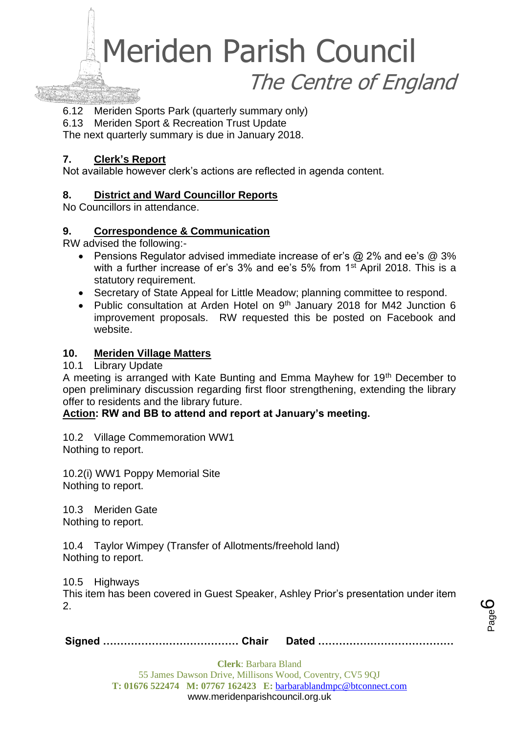

6.12 Meriden Sports Park (quarterly summary only)

6.13 Meriden Sport & Recreation Trust Update

The next quarterly summary is due in January 2018.

### **7. Clerk's Report**

Not available however clerk's actions are reflected in agenda content.

### **8. District and Ward Councillor Reports**

No Councillors in attendance.

### **9. Correspondence & Communication**

RW advised the following:-

- Pensions Regulator advised immediate increase of er's @ 2% and ee's @ 3% with a further increase of er's 3% and ee's 5% from 1<sup>st</sup> April 2018. This is a statutory requirement.
- Secretary of State Appeal for Little Meadow; planning committee to respond.
- Public consultation at Arden Hotel on 9<sup>th</sup> January 2018 for M42 Junction 6 improvement proposals. RW requested this be posted on Facebook and website.

### **10. Meriden Village Matters**

10.1 Library Update

A meeting is arranged with Kate Bunting and Emma Mayhew for 19<sup>th</sup> December to open preliminary discussion regarding first floor strengthening, extending the library offer to residents and the library future.

### **Action: RW and BB to attend and report at January's meeting.**

10.2 Village Commemoration WW1 Nothing to report.

10.2(i) WW1 Poppy Memorial Site Nothing to report.

10.3 Meriden Gate Nothing to report.

10.4 Taylor Wimpey (Transfer of Allotments/freehold land) Nothing to report.

10.5 Highways

This item has been covered in Guest Speaker, Ashley Prior's presentation under item 2.

|--|--|--|

Page ပ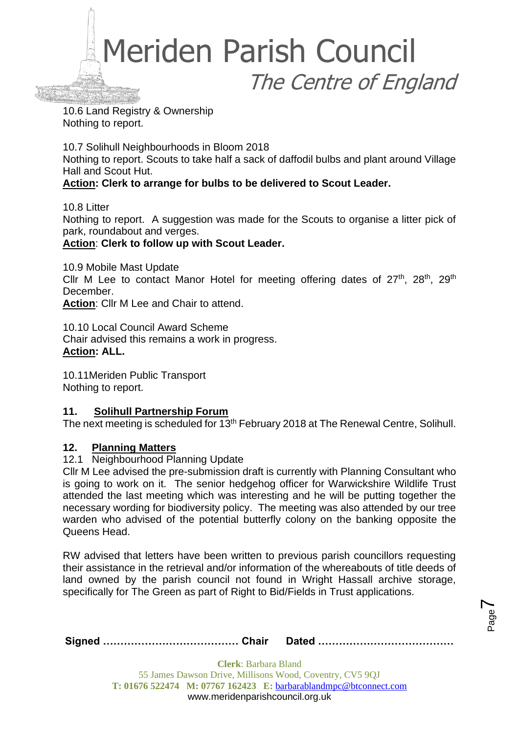

10.6 Land Registry & Ownership Nothing to report.

10.7 Solihull Neighbourhoods in Bloom 2018 Nothing to report. Scouts to take half a sack of daffodil bulbs and plant around Village Hall and Scout Hut.

### **Action: Clerk to arrange for bulbs to be delivered to Scout Leader.**

10.8 Litter Nothing to report. A suggestion was made for the Scouts to organise a litter pick of park, roundabout and verges.

**Action**: **Clerk to follow up with Scout Leader.**

10.9 Mobile Mast Update Cllr M Lee to contact Manor Hotel for meeting offering dates of  $27<sup>th</sup>$ ,  $28<sup>th</sup>$ ,  $29<sup>th</sup>$ December.

**Action**: Cllr M Lee and Chair to attend.

10.10 Local Council Award Scheme Chair advised this remains a work in progress. **Action: ALL.**

10.11Meriden Public Transport Nothing to report.

### **11. Solihull Partnership Forum**

The next meeting is scheduled for 13<sup>th</sup> February 2018 at The Renewal Centre, Solihull.

### **12. Planning Matters**

### 12.1 Neighbourhood Planning Update

Cllr M Lee advised the pre-submission draft is currently with Planning Consultant who is going to work on it. The senior hedgehog officer for Warwickshire Wildlife Trust attended the last meeting which was interesting and he will be putting together the necessary wording for biodiversity policy. The meeting was also attended by our tree warden who advised of the potential butterfly colony on the banking opposite the Queens Head.

RW advised that letters have been written to previous parish councillors requesting their assistance in the retrieval and/or information of the whereabouts of title deeds of land owned by the parish council not found in Wright Hassall archive storage, specifically for The Green as part of Right to Bid/Fields in Trust applications.

|--|--|--|

Page  $\blacktriangleright$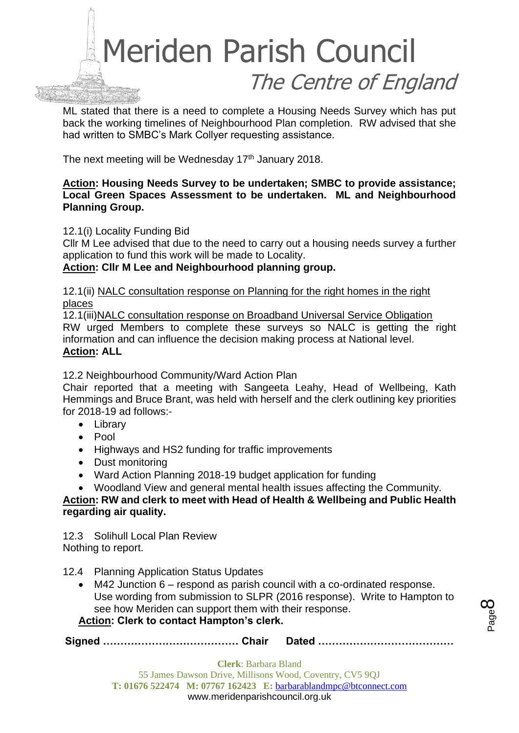

ML stated that there is a need to complete a Housing Needs Survey which has put back the working timelines of Neighbourhood Plan completion. RW advised that she had written to SMBC's Mark Collyer requesting assistance.

The next meeting will be Wednesday 17<sup>th</sup> January 2018.

### **Action: Housing Needs Survey to be undertaken; SMBC to provide assistance; Local Green Spaces Assessment to be undertaken. ML and Neighbourhood Planning Group.**

12.1(i) Locality Funding Bid

Cllr M Lee advised that due to the need to carry out a housing needs survey a further application to fund this work will be made to Locality.

**Action: Cllr M Lee and Neighbourhood planning group.**

12.1(ii) [NALC consultation response on Planning for the](https://www.walc.org.uk/component/edocman/nalc-consultation-response-on-planning-for-the-right-homes-in-the-right-places/download) right homes in the right [places](https://www.walc.org.uk/component/edocman/nalc-consultation-response-on-planning-for-the-right-homes-in-the-right-places/download)

12.1(iii[\)NALC consultation response on Broadband Universal Service Obligation](https://www.walc.org.uk/component/edocman/nalc-consultation-response-on-broadband-universal-service-obligation/download)  RW urged Members to complete these surveys so NALC is getting the right information and can influence the decision making process at National level. **Action: ALL**

12.2 Neighbourhood Community/Ward Action Plan

Chair reported that a meeting with Sangeeta Leahy, Head of Wellbeing, Kath Hemmings and Bruce Brant, was held with herself and the clerk outlining key priorities for 2018-19 ad follows:-

- Library
- Pool
- Highways and HS2 funding for traffic improvements
- Dust monitoring
- Ward Action Planning 2018-19 budget application for funding

• Woodland View and general mental health issues affecting the Community.

**Action: RW and clerk to meet with Head of Health & Wellbeing and Public Health regarding air quality.**

12.3 Solihull Local Plan Review Nothing to report.

- 12.4 Planning Application Status Updates
	- M42 Junction 6 respond as parish council with a co-ordinated response. Use wording from submission to SLPR (2016 response). Write to Hampton to see how Meriden can support them with their response.

### **Action: Clerk to contact Hampton's clerk.**

**Signed ………………………………… Chair Dated …………………………………**

Page  $\infty$